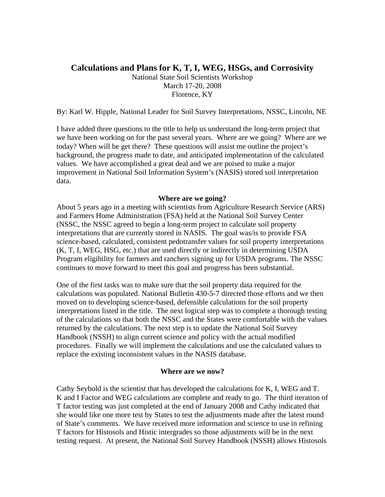## **Calculations and Plans for K, T, I, WEG, HSGs, and Corrosivity**

National State Soil Scientists Workshop March 17-20, 2008 Florence, KY

By: Karl W. Hipple, National Leader for Soil Survey Interpretations, NSSC, Lincoln, NE

I have added three questions to the title to help us understand the long-term project that we have been working on for the past several years. Where are we going? Where are we today? When will be get there? These questions will assist me outline the project's background, the progress made to date, and anticipated implementation of the calculated values. We have accomplished a great deal and we are poised to make a major improvement in National Soil Information System's (NASIS) stored soil interpretation data.

## **Where are we going?**

About 5 years ago in a meeting with scientists from Agriculture Research Service (ARS) and Farmers Home Administration (FSA) held at the National Soil Survey Center (NSSC, the NSSC agreed to begin a long-term project to calculate soil property interpretations that are currently stored in NASIS. The goal was/is to provide FSA science-based, calculated, consistent pedotransfer values for soil property interpretations (K, T, I, WEG, HSG, etc.) that are used directly or indirectly in determining USDA Program eligibility for farmers and ranchers signing up for USDA programs. The NSSC continues to move forward to meet this goal and progress has been substantial.

One of the first tasks was to make sure that the soil property data required for the calculations was populated. National Bulletin 430-5-7 directed those efforts and we then moved on to developing science-based, defensible calculations for the soil property interpretations listed in the title. The next logical step was to complete a thorough testing of the calculations so that both the NSSC and the States were comfortable with the values returned by the calculations. The next step is to update the National Soil Survey Handbook (NSSH) to align current science and policy with the actual modified procedures. Finally we will implement the calculations and use the calculated values to replace the existing inconsistent values in the NASIS database.

## **Where are we now?**

Cathy Seybold is the scientist that has developed the calculations for K, I, WEG and T. K and I Factor and WEG calculations are complete and ready to go. The third iteration of T factor testing was just completed at the end of January 2008 and Cathy indicated that she would like one more test by States to test the adjustments made after the latest round of State's comments. We have received more information and science to use in refining T factors for Histosols and Histic intergrades so those adjustments will be in the next testing request. At present, the National Soil Survey Handbook (NSSH) allows Histosols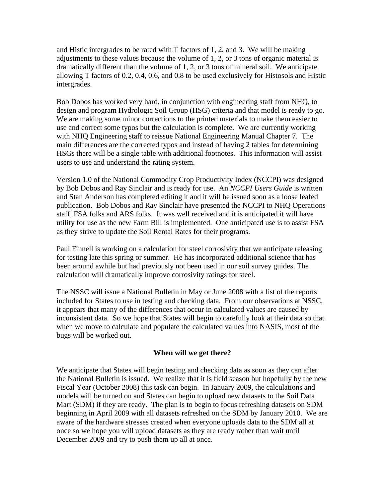and Histic intergrades to be rated with T factors of 1, 2, and 3. We will be making adjustments to these values because the volume of 1, 2, or 3 tons of organic material is dramatically different than the volume of 1, 2, or 3 tons of mineral soil. We anticipate allowing T factors of 0.2, 0.4, 0.6, and 0.8 to be used exclusively for Histosols and Histic intergrades.

Bob Dobos has worked very hard, in conjunction with engineering staff from NHQ, to design and program Hydrologic Soil Group (HSG) criteria and that model is ready to go. We are making some minor corrections to the printed materials to make them easier to use and correct some typos but the calculation is complete. We are currently working with NHQ Engineering staff to reissue National Engineering Manual Chapter 7. The main differences are the corrected typos and instead of having 2 tables for determining HSGs there will be a single table with additional footnotes. This information will assist users to use and understand the rating system.

Version 1.0 of the National Commodity Crop Productivity Index (NCCPI) was designed by Bob Dobos and Ray Sinclair and is ready for use. An *NCCPI Users Guide* is written and Stan Anderson has completed editing it and it will be issued soon as a loose leafed publication. Bob Dobos and Ray Sinclair have presented the NCCPI to NHQ Operations staff, FSA folks and ARS folks. It was well received and it is anticipated it will have utility for use as the new Farm Bill is implemented. One anticipated use is to assist FSA as they strive to update the Soil Rental Rates for their programs.

Paul Finnell is working on a calculation for steel corrosivity that we anticipate releasing for testing late this spring or summer. He has incorporated additional science that has been around awhile but had previously not been used in our soil survey guides. The calculation will dramatically improve corrosivity ratings for steel.

The NSSC will issue a National Bulletin in May or June 2008 with a list of the reports included for States to use in testing and checking data. From our observations at NSSC, it appears that many of the differences that occur in calculated values are caused by inconsistent data. So we hope that States will begin to carefully look at their data so that when we move to calculate and populate the calculated values into NASIS, most of the bugs will be worked out.

## **When will we get there?**

We anticipate that States will begin testing and checking data as soon as they can after the National Bulletin is issued. We realize that it is field season but hopefully by the new Fiscal Year (October 2008) this task can begin. In January 2009, the calculations and models will be turned on and States can begin to upload new datasets to the Soil Data Mart (SDM) if they are ready. The plan is to begin to focus refreshing datasets on SDM beginning in April 2009 with all datasets refreshed on the SDM by January 2010. We are aware of the hardware stresses created when everyone uploads data to the SDM all at once so we hope you will upload datasets as they are ready rather than wait until December 2009 and try to push them up all at once.